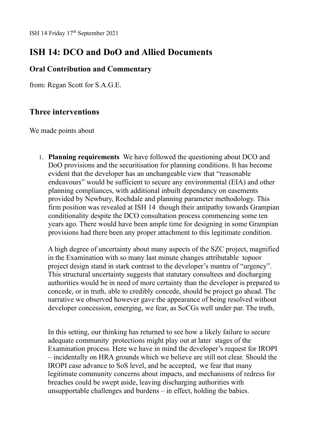## **ISH 14: DCO and DoO and Allied Documents**

## **Oral Contribution and Commentary**

from: Regan Scott for S.A.G.E.

## **Three interventions**

We made points about

1. **Planning requirements** We have followed the questioning about DCO and DoO provisions and the securitisation for planning conditions. It has become evident that the developer has an unchangeable view that "reasonable endeavours" would be sufficient to secure any environmental (EIA) and other planning compliances, with additional inbuilt dependancy on easements provided by Newbury, Rochdale and planning parameter methodology. This firm position was revealed at ISH 14 though their antipathy towards Grampian conditionality despite the DCO consultation process commencing some ten years ago. There would have been ample time for designing in some Grampian provisions had there been any proper attachment to this legitimate condition.

A high degree of uncertainty about many aspects of the SZC project, magnified in the Examination with so many last minute changes attributable topoor project design stand in stark contrast to the developer's mantra of "urgency". This structural uncertainty suggests that statutary consultees and discharging authorities would be in need of more certainty than the developer is prepared to concede, or in truth, able to credibly concede, should be project go ahead. The narrative we observed however gave the appearance of being resolved without developer concession, emerging, we fear, as SoCGs well under par. The truth,

In this setting, our thinking has returned to see how a likely failure to secure adequate community protections might play out at later stages of the Examination process. Here we have in mind the developer's request for IROPI – incidentally on HRA grounds which we believe are still not clear. Should the IROPI case advance to SoS level, and be accepted, we fear that many legitimate community concerns about impacts, and mechanisms of redress for breaches could be swept aside, leaving discharging authorities with unsupportable challenges and burdens – in effect, holding the babies.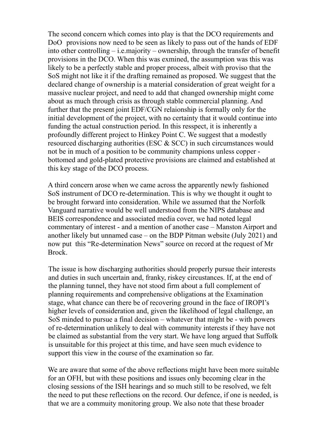The second concern which comes into play is that the DCO requirements and DoO provisions now need to be seen as likely to pass out of the hands of EDF into other controlling – i.e.majority – ownership, through the transfer of benefit provisions in the DCO. When this was exmined, the assumption was this was likely to be a perfectly stable and proper process, albeit with proviso that the SoS might not like it if the drafting remained as proposed. We suggest that the declared change of ownership is a material consideration of great weight for a massive nuclear project, and need to add that changed ownership might come about as much through crisis as through stable commercial planning. And further that the present joint EDF/CGN relaionship is formally only for the initial development of the project, with no certainty that it would continue into funding the actual construction period. In this resspect, it is inherently a profoundly different project to Hinkey Point C. We suggest that a modestly resourced discharging authorities (ESC & SCC) in such circumstances would not be in much of a position to be community champions unless copper bottomed and gold-plated protective provisions are claimed and established at this key stage of the DCO process.

A third concern arose when we came across the apparently newly fashioned SoS instrument of DCO re-determination. This is why we thought it ought to be brought forward into consideration. While we assumed that the Norfolk Vanguard narrative would be well understood from the NIPS database and BEIS correspondence and associated media cover, we had noted legal commentary of interest - and a mention of another case – Manston Airport and another likely but unnamed case – on the BDP Pitman website (July 2021) and now put this "Re-determination News" source on record at the request of Mr Brock.

The issue is how discharging authorities should properly pursue their interests and duties in such uncertain and, franky, riskey circustances. If, at the end of the planning tunnel, they have not stood firm about a full complement of planning requirements and comprehensive obligations at the Examination stage, what chance can there be of recovering ground in the face of IROPI's higher levels of consideration and, given the likelihood of legal challenge, an SoS minded to pursue a final decision – whatever that might be - with powers of re-determination unlikely to deal with community interests if they have not be claimed as substantial from the very start. We have long argued that Suffolk is unsuitable for this project at this time, and have seen much evidence to support this view in the course of the examination so far.

We are aware that some of the above reflections might have been more suitable for an OFH, but with these positions and issues only becoming clear in the closing sessions of the ISH hearings and so much still to be resolved, we felt the need to put these reflections on the record. Our defence, if one is needed, is that we are a commuity monitoring group. We also note that these broader